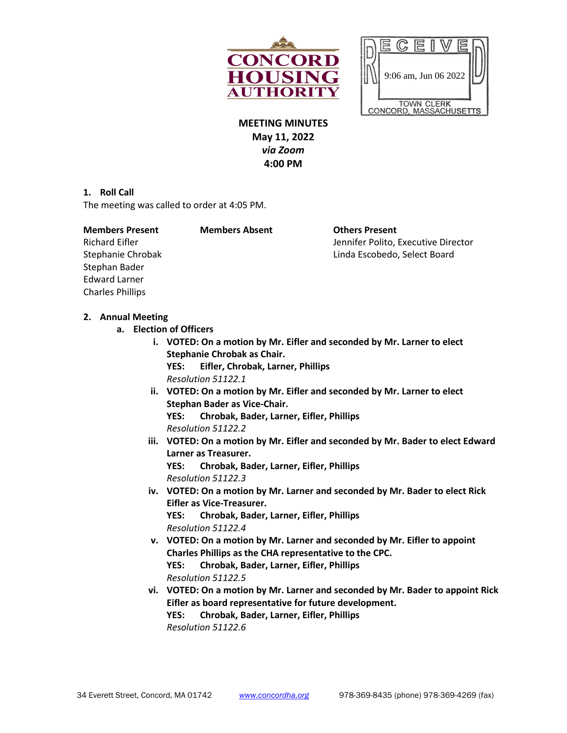



**MEETING MINUTES May 11, 2022** *via Zoom* **4:00 PM**

**1. Roll Call**

The meeting was called to order at 4:05 PM.

| <b>Members Present</b>  | <b>Members Absent</b> | <b>Others Present</b>                                               |
|-------------------------|-----------------------|---------------------------------------------------------------------|
| <b>Richard Eifler</b>   |                       | Jennifer Polito, Executive Director<br>Linda Escobedo, Select Board |
| Stephanie Chrobak       |                       |                                                                     |
| Stephan Bader           |                       |                                                                     |
| <b>Edward Larner</b>    |                       |                                                                     |
| <b>Charles Phillips</b> |                       |                                                                     |

#### **2. Annual Meeting**

- **a. Election of Officers**
	- **i. VOTED: On a motion by Mr. Eifler and seconded by Mr. Larner to elect Stephanie Chrobak as Chair.**

**YES: Eifler, Chrobak, Larner, Phillips** *Resolution 51122.1*

- **ii. VOTED: On a motion by Mr. Eifler and seconded by Mr. Larner to elect Stephan Bader as Vice-Chair. YES: Chrobak, Bader, Larner, Eifler, Phillips** *Resolution 51122.2*
- **iii. VOTED: On a motion by Mr. Eifler and seconded by Mr. Bader to elect Edward Larner as Treasurer. YES: Chrobak, Bader, Larner, Eifler, Phillips** *Resolution 51122.3*
- **iv. VOTED: On a motion by Mr. Larner and seconded by Mr. Bader to elect Rick Eifler as Vice-Treasurer. YES: Chrobak, Bader, Larner, Eifler, Phillips** *Resolution 51122.4*
- **v. VOTED: On a motion by Mr. Larner and seconded by Mr. Eifler to appoint Charles Phillips as the CHA representative to the CPC. YES: Chrobak, Bader, Larner, Eifler, Phillips** *Resolution 51122.5*
- **vi. VOTED: On a motion by Mr. Larner and seconded by Mr. Bader to appoint Rick Eifler as board representative for future development. YES: Chrobak, Bader, Larner, Eifler, Phillips** *Resolution 51122.6*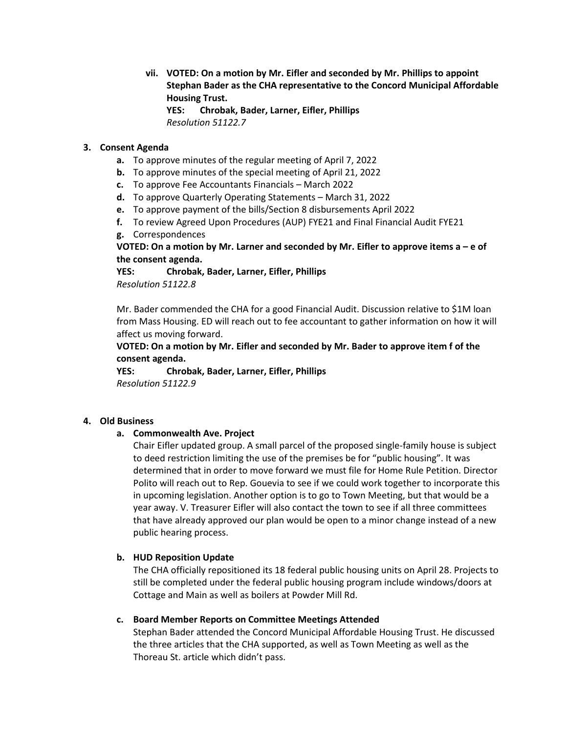**vii. VOTED: On a motion by Mr. Eifler and seconded by Mr. Phillips to appoint Stephan Bader as the CHA representative to the Concord Municipal Affordable Housing Trust.** 

**YES: Chrobak, Bader, Larner, Eifler, Phillips** *Resolution 51122.7*

#### **3. Consent Agenda**

- **a.** To approve minutes of the regular meeting of April 7, 2022
- **b.** To approve minutes of the special meeting of April 21, 2022
- **c.** To approve Fee Accountants Financials March 2022
- **d.** To approve Quarterly Operating Statements March 31, 2022
- **e.** To approve payment of the bills/Section 8 disbursements April 2022
- **f.** To review Agreed Upon Procedures (AUP) FYE21 and Final Financial Audit FYE21
- **g.** Correspondences

### **VOTED: On a motion by Mr. Larner and seconded by Mr. Eifler to approve items a – e of the consent agenda.**

**YES: Chrobak, Bader, Larner, Eifler, Phillips** *Resolution 51122.8*

Mr. Bader commended the CHA for a good Financial Audit. Discussion relative to \$1M loan from Mass Housing. ED will reach out to fee accountant to gather information on how it will affect us moving forward.

# **VOTED: On a motion by Mr. Eifler and seconded by Mr. Bader to approve item f of the consent agenda.**

**YES: Chrobak, Bader, Larner, Eifler, Phillips** *Resolution 51122.9*

### **4. Old Business**

### **a. Commonwealth Ave. Project**

Chair Eifler updated group. A small parcel of the proposed single-family house is subject to deed restriction limiting the use of the premises be for "public housing". It was determined that in order to move forward we must file for Home Rule Petition. Director Polito will reach out to Rep. Gouevia to see if we could work together to incorporate this in upcoming legislation. Another option is to go to Town Meeting, but that would be a year away. V. Treasurer Eifler will also contact the town to see if all three committees that have already approved our plan would be open to a minor change instead of a new public hearing process.

### **b. HUD Reposition Update**

The CHA officially repositioned its 18 federal public housing units on April 28. Projects to still be completed under the federal public housing program include windows/doors at Cottage and Main as well as boilers at Powder Mill Rd.

#### **c. Board Member Reports on Committee Meetings Attended**

Stephan Bader attended the Concord Municipal Affordable Housing Trust. He discussed the three articles that the CHA supported, as well as Town Meeting as well as the Thoreau St. article which didn't pass.